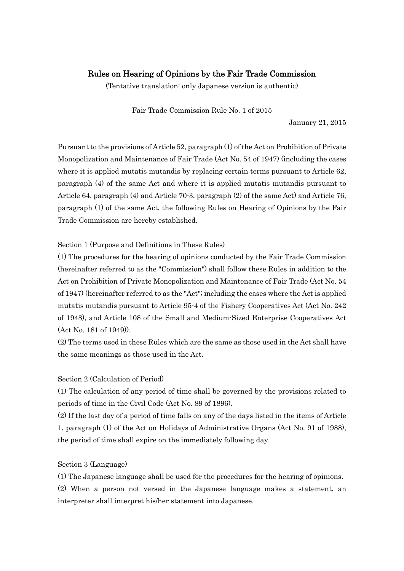# Rules on Hearing of Opinions by the Fair Trade Commission

(Tentative translation: only Japanese version is authentic)

Fair Trade Commission Rule No. 1 of 2015

January 21, 2015

Pursuant to the provisions of Article 52, paragraph (1) of the Act on Prohibition of Private Monopolization and Maintenance of Fair Trade (Act No. 54 of 1947) (including the cases where it is applied mutatis mutandis by replacing certain terms pursuant to Article 62, paragraph (4) of the same Act and where it is applied mutatis mutandis pursuant to Article 64, paragraph (4) and Article 70-3, paragraph (2) of the same Act) and Article 76, paragraph (1) of the same Act, the following Rules on Hearing of Opinions by the Fair Trade Commission are hereby established.

Section 1 (Purpose and Definitions in These Rules)

(1) The procedures for the hearing of opinions conducted by the Fair Trade Commission (hereinafter referred to as the "Commission") shall follow these Rules in addition to the Act on Prohibition of Private Monopolization and Maintenance of Fair Trade (Act No. 54 of 1947) (hereinafter referred to as the "Act"; including the cases where the Act is applied mutatis mutandis pursuant to Article 95-4 of the Fishery Cooperatives Act (Act No. 242 of 1948), and Article 108 of the Small and Medium-Sized Enterprise Cooperatives Act (Act No. 181 of 1949)).

(2) The terms used in these Rules which are the same as those used in the Act shall have the same meanings as those used in the Act.

## Section 2 (Calculation of Period)

(1) The calculation of any period of time shall be governed by the provisions related to periods of time in the Civil Code (Act No. 89 of 1896).

(2) If the last day of a period of time falls on any of the days listed in the items of Article 1, paragraph (1) of the Act on Holidays of Administrative Organs (Act No. 91 of 1988), the period of time shall expire on the immediately following day.

# Section 3 (Language)

(1) The Japanese language shall be used for the procedures for the hearing of opinions.

(2) When a person not versed in the Japanese language makes a statement, an interpreter shall interpret his/her statement into Japanese.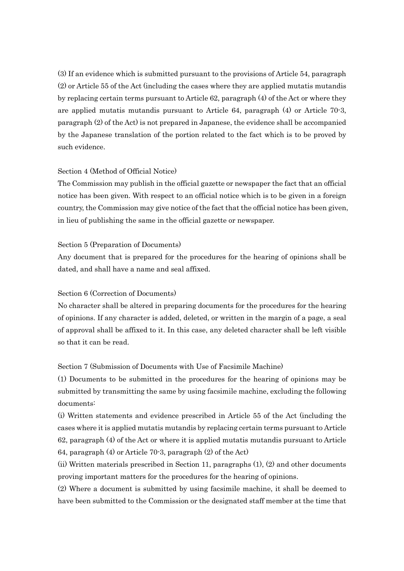(3) If an evidence which is submitted pursuant to the provisions of Article 54, paragraph (2) or Article 55 of the Act (including the cases where they are applied mutatis mutandis by replacing certain terms pursuant to Article 62, paragraph (4) of the Act or where they are applied mutatis mutandis pursuant to Article 64, paragraph (4) or Article 70-3, paragraph (2) of the Act) is not prepared in Japanese, the evidence shall be accompanied by the Japanese translation of the portion related to the fact which is to be proved by such evidence.

### Section 4 (Method of Official Notice)

The Commission may publish in the official gazette or newspaper the fact that an official notice has been given. With respect to an official notice which is to be given in a foreign country, the Commission may give notice of the fact that the official notice has been given, in lieu of publishing the same in the official gazette or newspaper.

#### Section 5 (Preparation of Documents)

Any document that is prepared for the procedures for the hearing of opinions shall be dated, and shall have a name and seal affixed.

## Section 6 (Correction of Documents)

No character shall be altered in preparing documents for the procedures for the hearing of opinions. If any character is added, deleted, or written in the margin of a page, a seal of approval shall be affixed to it. In this case, any deleted character shall be left visible so that it can be read.

## Section 7 (Submission of Documents with Use of Facsimile Machine)

(1) Documents to be submitted in the procedures for the hearing of opinions may be submitted by transmitting the same by using facsimile machine, excluding the following documents:

(i) Written statements and evidence prescribed in Article 55 of the Act (including the cases where it is applied mutatis mutandis by replacing certain terms pursuant to Article 62, paragraph (4) of the Act or where it is applied mutatis mutandis pursuant to Article 64, paragraph (4) or Article 70-3, paragraph (2) of the Act)

(ii) Written materials prescribed in Section 11, paragraphs (1), (2) and other documents proving important matters for the procedures for the hearing of opinions.

(2) Where a document is submitted by using facsimile machine, it shall be deemed to have been submitted to the Commission or the designated staff member at the time that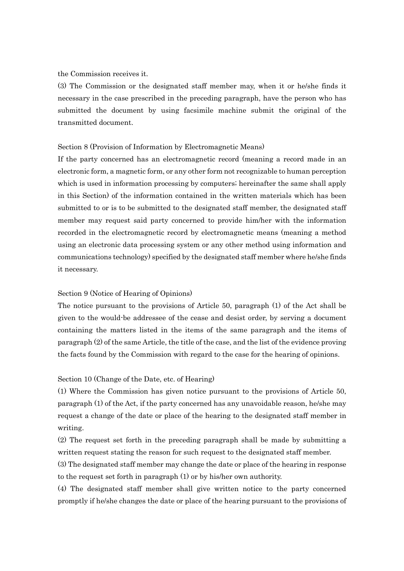#### the Commission receives it.

(3) The Commission or the designated staff member may, when it or he/she finds it necessary in the case prescribed in the preceding paragraph, have the person who has submitted the document by using facsimile machine submit the original of the transmitted document.

### Section 8 (Provision of Information by Electromagnetic Means)

If the party concerned has an electromagnetic record (meaning a record made in an electronic form, a magnetic form, or any other form not recognizable to human perception which is used in information processing by computers; hereinafter the same shall apply in this Section) of the information contained in the written materials which has been submitted to or is to be submitted to the designated staff member, the designated staff member may request said party concerned to provide him/her with the information recorded in the electromagnetic record by electromagnetic means (meaning a method using an electronic data processing system or any other method using information and communications technology) specified by the designated staff member where he/she finds it necessary.

#### Section 9 (Notice of Hearing of Opinions)

The notice pursuant to the provisions of Article 50, paragraph (1) of the Act shall be given to the would-be addressee of the cease and desist order, by serving a document containing the matters listed in the items of the same paragraph and the items of paragraph (2) of the same Article, the title of the case, and the list of the evidence proving the facts found by the Commission with regard to the case for the hearing of opinions.

#### Section 10 (Change of the Date, etc. of Hearing)

(1) Where the Commission has given notice pursuant to the provisions of Article 50, paragraph (1) of the Act, if the party concerned has any unavoidable reason, he/she may request a change of the date or place of the hearing to the designated staff member in writing.

(2) The request set forth in the preceding paragraph shall be made by submitting a written request stating the reason for such request to the designated staff member.

(3) The designated staff member may change the date or place of the hearing in response to the request set forth in paragraph (1) or by his/her own authority.

(4) The designated staff member shall give written notice to the party concerned promptly if he/she changes the date or place of the hearing pursuant to the provisions of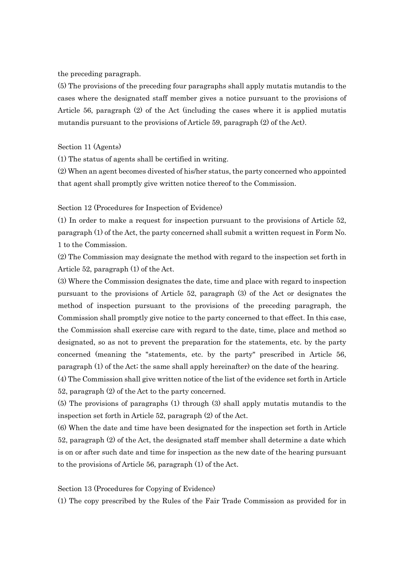the preceding paragraph.

(5) The provisions of the preceding four paragraphs shall apply mutatis mutandis to the cases where the designated staff member gives a notice pursuant to the provisions of Article 56, paragraph (2) of the Act (including the cases where it is applied mutatis mutandis pursuant to the provisions of Article 59, paragraph (2) of the Act).

Section 11 (Agents)

(1) The status of agents shall be certified in writing.

(2) When an agent becomes divested of his/her status, the party concerned who appointed that agent shall promptly give written notice thereof to the Commission.

Section 12 (Procedures for Inspection of Evidence)

(1) In order to make a request for inspection pursuant to the provisions of Article 52, paragraph (1) of the Act, the party concerned shall submit a written request in Form No. 1 to the Commission.

(2) The Commission may designate the method with regard to the inspection set forth in Article 52, paragraph (1) of the Act.

(3) Where the Commission designates the date, time and place with regard to inspection pursuant to the provisions of Article 52, paragraph (3) of the Act or designates the method of inspection pursuant to the provisions of the preceding paragraph, the Commission shall promptly give notice to the party concerned to that effect. In this case, the Commission shall exercise care with regard to the date, time, place and method so designated, so as not to prevent the preparation for the statements, etc. by the party concerned (meaning the "statements, etc. by the party" prescribed in Article 56, paragraph (1) of the Act; the same shall apply hereinafter) on the date of the hearing.

(4) The Commission shall give written notice of the list of the evidence set forth in Article 52, paragraph (2) of the Act to the party concerned.

(5) The provisions of paragraphs (1) through (3) shall apply mutatis mutandis to the inspection set forth in Article 52, paragraph (2) of the Act.

(6) When the date and time have been designated for the inspection set forth in Article 52, paragraph (2) of the Act, the designated staff member shall determine a date which is on or after such date and time for inspection as the new date of the hearing pursuant to the provisions of Article 56, paragraph (1) of the Act.

Section 13 (Procedures for Copying of Evidence)

(1) The copy prescribed by the Rules of the Fair Trade Commission as provided for in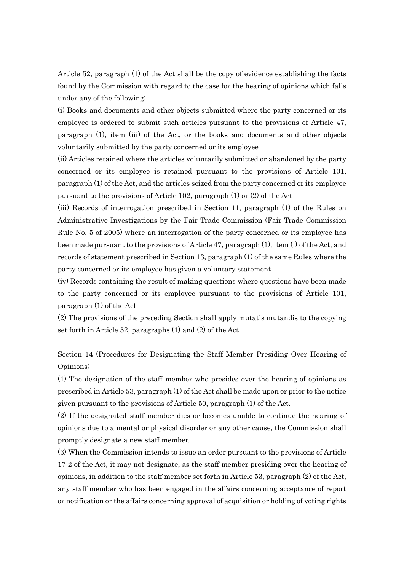Article 52, paragraph (1) of the Act shall be the copy of evidence establishing the facts found by the Commission with regard to the case for the hearing of opinions which falls under any of the following:

(i) Books and documents and other objects submitted where the party concerned or its employee is ordered to submit such articles pursuant to the provisions of Article 47, paragraph (1), item (iii) of the Act, or the books and documents and other objects voluntarily submitted by the party concerned or its employee

(ii) Articles retained where the articles voluntarily submitted or abandoned by the party concerned or its employee is retained pursuant to the provisions of Article 101, paragraph (1) of the Act, and the articles seized from the party concerned or its employee pursuant to the provisions of Article 102, paragraph (1) or (2) of the Act

(iii) Records of interrogation prescribed in Section 11, paragraph (1) of the Rules on Administrative Investigations by the Fair Trade Commission (Fair Trade Commission Rule No. 5 of 2005) where an interrogation of the party concerned or its employee has been made pursuant to the provisions of Article 47, paragraph (1), item (i) of the Act, and records of statement prescribed in Section 13, paragraph (1) of the same Rules where the party concerned or its employee has given a voluntary statement

(iv) Records containing the result of making questions where questions have been made to the party concerned or its employee pursuant to the provisions of Article 101, paragraph (1) of the Act

(2) The provisions of the preceding Section shall apply mutatis mutandis to the copying set forth in Article 52, paragraphs (1) and (2) of the Act.

Section 14 (Procedures for Designating the Staff Member Presiding Over Hearing of Opinions)

(1) The designation of the staff member who presides over the hearing of opinions as prescribed in Article 53, paragraph (1) of the Act shall be made upon or prior to the notice given pursuant to the provisions of Article 50, paragraph (1) of the Act.

(2) If the designated staff member dies or becomes unable to continue the hearing of opinions due to a mental or physical disorder or any other cause, the Commission shall promptly designate a new staff member.

(3) When the Commission intends to issue an order pursuant to the provisions of Article 17-2 of the Act, it may not designate, as the staff member presiding over the hearing of opinions, in addition to the staff member set forth in Article 53, paragraph (2) of the Act, any staff member who has been engaged in the affairs concerning acceptance of report or notification or the affairs concerning approval of acquisition or holding of voting rights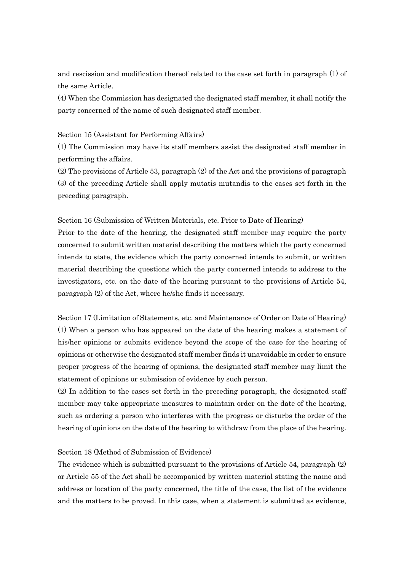and rescission and modification thereof related to the case set forth in paragraph (1) of the same Article.

(4) When the Commission has designated the designated staff member, it shall notify the party concerned of the name of such designated staff member.

### Section 15 (Assistant for Performing Affairs)

(1) The Commission may have its staff members assist the designated staff member in performing the affairs.

(2) The provisions of Article 53, paragraph (2) of the Act and the provisions of paragraph (3) of the preceding Article shall apply mutatis mutandis to the cases set forth in the preceding paragraph.

Section 16 (Submission of Written Materials, etc. Prior to Date of Hearing)

Prior to the date of the hearing, the designated staff member may require the party concerned to submit written material describing the matters which the party concerned intends to state, the evidence which the party concerned intends to submit, or written material describing the questions which the party concerned intends to address to the investigators, etc. on the date of the hearing pursuant to the provisions of Article 54, paragraph (2) of the Act, where he/she finds it necessary.

Section 17 (Limitation of Statements, etc. and Maintenance of Order on Date of Hearing) (1) When a person who has appeared on the date of the hearing makes a statement of his/her opinions or submits evidence beyond the scope of the case for the hearing of opinions or otherwise the designated staff member finds it unavoidable in order to ensure proper progress of the hearing of opinions, the designated staff member may limit the statement of opinions or submission of evidence by such person.

(2) In addition to the cases set forth in the preceding paragraph, the designated staff member may take appropriate measures to maintain order on the date of the hearing, such as ordering a person who interferes with the progress or disturbs the order of the hearing of opinions on the date of the hearing to withdraw from the place of the hearing.

#### Section 18 (Method of Submission of Evidence)

The evidence which is submitted pursuant to the provisions of Article 54, paragraph (2) or Article 55 of the Act shall be accompanied by written material stating the name and address or location of the party concerned, the title of the case, the list of the evidence and the matters to be proved. In this case, when a statement is submitted as evidence,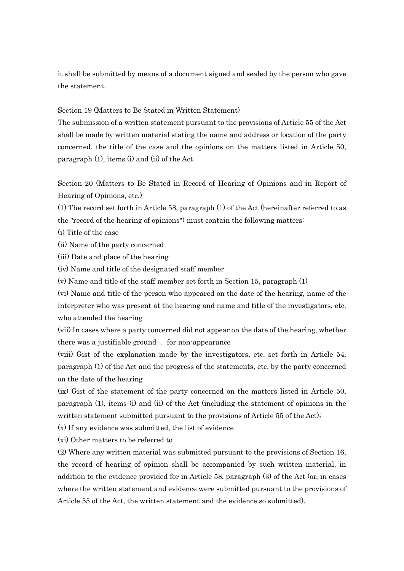it shall be submitted by means of a document signed and sealed by the person who gave the statement.

### Section 19 (Matters to Be Stated in Written Statement)

The submission of a written statement pursuant to the provisions of Article 55 of the Act shall be made by written material stating the name and address or location of the party concerned, the title of the case and the opinions on the matters listed in Article 50, paragraph (1), items (i) and (ii) of the Act.

Section 20 (Matters to Be Stated in Record of Hearing of Opinions and in Report of Hearing of Opinions, etc.)

(1) The record set forth in Article 58, paragraph (1) of the Act (hereinafter referred to as the "record of the hearing of opinions") must contain the following matters:

(i) Title of the case

(ii) Name of the party concerned

(iii) Date and place of the hearing

(iv) Name and title of the designated staff member

(v) Name and title of the staff member set forth in Section 15, paragraph (1)

(vi) Name and title of the person who appeared on the date of the hearing, name of the interpreter who was present at the hearing and name and title of the investigators, etc. who attended the hearing

(vii) In cases where a party concerned did not appear on the date of the hearing, whether there was a justifiable ground, for non-appearance

(viii) Gist of the explanation made by the investigators, etc. set forth in Article 54, paragraph (1) of the Act and the progress of the statements, etc. by the party concerned on the date of the hearing

(ix) Gist of the statement of the party concerned on the matters listed in Article 50, paragraph (1), items (i) and (ii) of the Act (including the statement of opinions in the written statement submitted pursuant to the provisions of Article 55 of the Act);

(x) If any evidence was submitted, the list of evidence

(xi) Other matters to be referred to

(2) Where any written material was submitted pursuant to the provisions of Section 16, the record of hearing of opinion shall be accompanied by such written material, in addition to the evidence provided for in Article 58, paragraph (3) of the Act (or, in cases where the written statement and evidence were submitted pursuant to the provisions of Article 55 of the Act, the written statement and the evidence so submitted).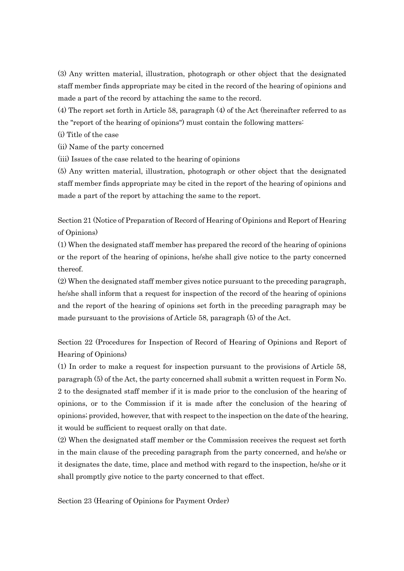(3) Any written material, illustration, photograph or other object that the designated staff member finds appropriate may be cited in the record of the hearing of opinions and made a part of the record by attaching the same to the record.

(4) The report set forth in Article 58, paragraph (4) of the Act (hereinafter referred to as the "report of the hearing of opinions") must contain the following matters:

(i) Title of the case

(ii) Name of the party concerned

(iii) Issues of the case related to the hearing of opinions

(5) Any written material, illustration, photograph or other object that the designated staff member finds appropriate may be cited in the report of the hearing of opinions and made a part of the report by attaching the same to the report.

Section 21 (Notice of Preparation of Record of Hearing of Opinions and Report of Hearing of Opinions)

(1) When the designated staff member has prepared the record of the hearing of opinions or the report of the hearing of opinions, he/she shall give notice to the party concerned thereof.

(2) When the designated staff member gives notice pursuant to the preceding paragraph, he/she shall inform that a request for inspection of the record of the hearing of opinions and the report of the hearing of opinions set forth in the preceding paragraph may be made pursuant to the provisions of Article 58, paragraph (5) of the Act.

Section 22 (Procedures for Inspection of Record of Hearing of Opinions and Report of Hearing of Opinions)

(1) In order to make a request for inspection pursuant to the provisions of Article 58, paragraph (5) of the Act, the party concerned shall submit a written request in Form No. 2 to the designated staff member if it is made prior to the conclusion of the hearing of opinions, or to the Commission if it is made after the conclusion of the hearing of opinions; provided, however, that with respect to the inspection on the date of the hearing, it would be sufficient to request orally on that date.

(2) When the designated staff member or the Commission receives the request set forth in the main clause of the preceding paragraph from the party concerned, and he/she or it designates the date, time, place and method with regard to the inspection, he/she or it shall promptly give notice to the party concerned to that effect.

Section 23 (Hearing of Opinions for Payment Order)